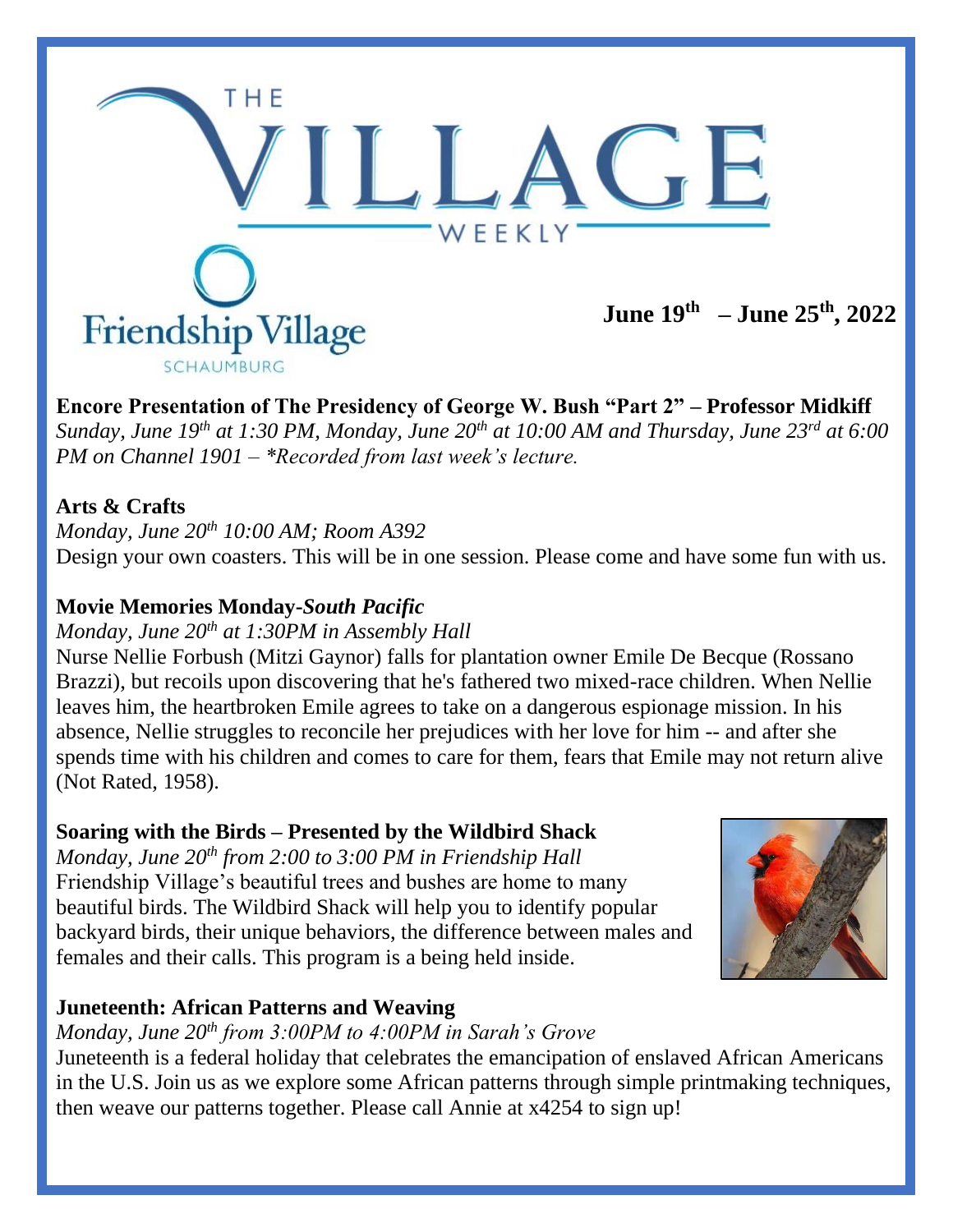

**Encore Presentation of The Presidency of George W. Bush "Part 2" – Professor Midkiff** *Sunday, June 19th at 1:30 PM, Monday, June 20th at 10:00 AM and Thursday, June 23rd at 6:00 PM on Channel 1901 – \*Recorded from last week's lecture.*

### **Arts & Crafts**

*Monday, June 20th 10:00 AM; Room A392* Design your own coasters. This will be in one session. Please come and have some fun with us.

### **Movie Memories Monday-***South Pacific*

#### *Monday, June 20th at 1:30PM in Assembly Hall*

Nurse Nellie Forbush (Mitzi Gaynor) falls for plantation owner Emile De Becque (Rossano Brazzi), but recoils upon discovering that he's fathered two mixed-race children. When Nellie leaves him, the heartbroken Emile agrees to take on a dangerous espionage mission. In his absence, Nellie struggles to reconcile her prejudices with her love for him -- and after she spends time with his children and comes to care for them, fears that Emile may not return alive (Not Rated, 1958).

### **Soaring with the Birds – Presented by the Wildbird Shack**

*Monday, June 20th from 2:00 to 3:00 PM in Friendship Hall* Friendship Village's beautiful trees and bushes are home to many beautiful birds. The Wildbird Shack will help you to identify popular backyard birds, their unique behaviors, the difference between males and females and their calls. This program is a being held inside.



### **Juneteenth: African Patterns and Weaving**

*Monday, June 20th from 3:00PM to 4:00PM in Sarah's Grove*

Juneteenth is a federal holiday that celebrates the emancipation of enslaved African Americans in the U.S. Join us as we explore some African patterns through simple printmaking techniques, then weave our patterns together. Please call Annie at x4254 to sign up!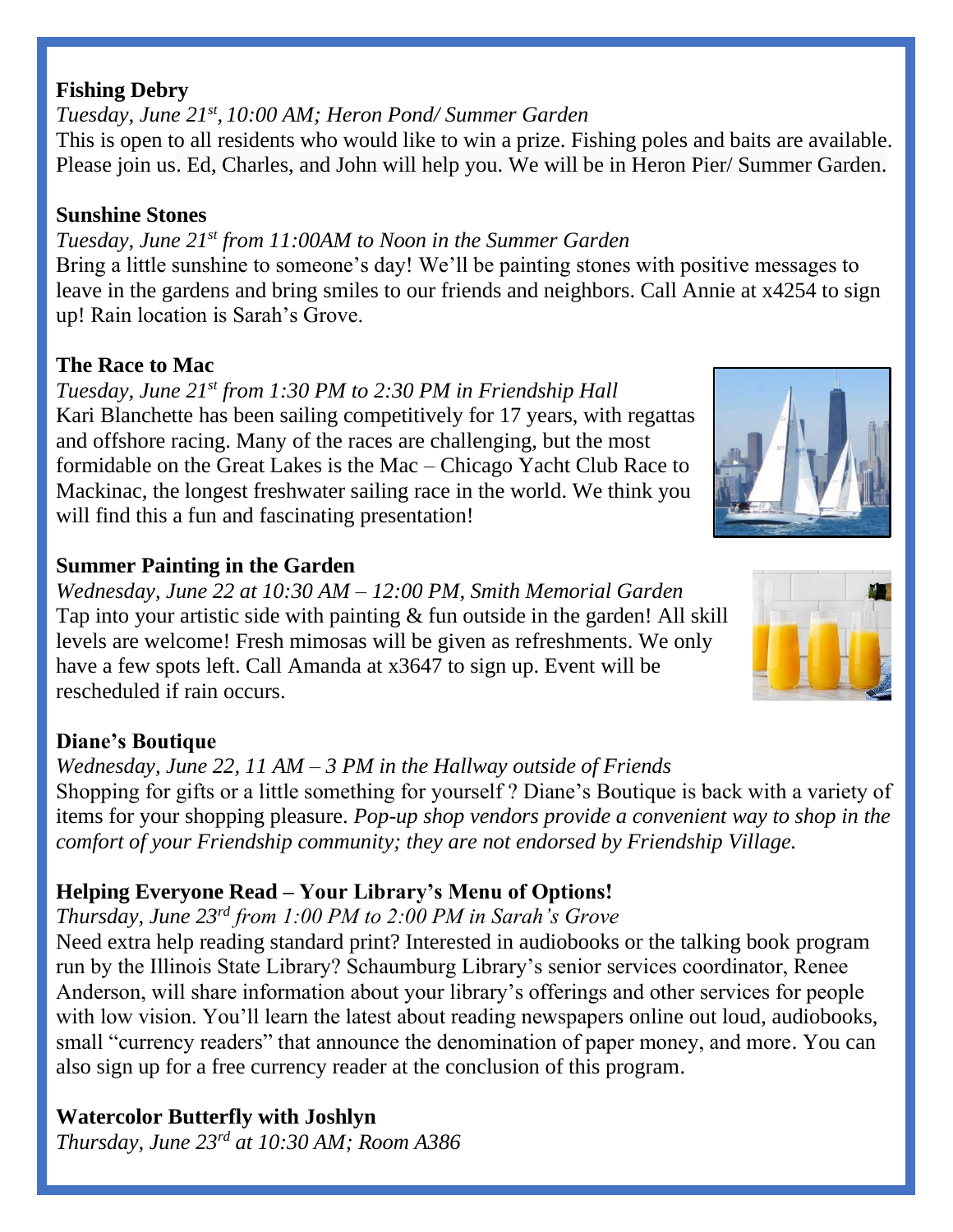#### **Fishing Debry**

*Tuesday, June 21st , 10:00 AM; Heron Pond/ Summer Garden*  This is open to all residents who would like to win a prize. Fishing poles and baits are available. Please join us. Ed, Charles, and John will help you. We will be in Heron Pier/ Summer Garden.

#### **Sunshine Stones**

*Tuesday, June 21st from 11:00AM to Noon in the Summer Garden*

Bring a little sunshine to someone's day! We'll be painting stones with positive messages to leave in the gardens and bring smiles to our friends and neighbors. Call Annie at x4254 to sign up! Rain location is Sarah's Grove.

# **The Race to Mac**

*Tuesday, June 21st from 1:30 PM to 2:30 PM in Friendship Hall* Kari Blanchette has been sailing competitively for 17 years, with regattas and offshore racing. Many of the races are challenging, but the most formidable on the Great Lakes is the Mac – Chicago Yacht Club Race to Mackinac, the longest freshwater sailing race in the world. We think you will find this a fun and fascinating presentation!

# **Summer Painting in the Garden**

*Wednesday, June 22 at 10:30 AM – 12:00 PM, Smith Memorial Garden* Tap into your artistic side with painting & fun outside in the garden! All skill levels are welcome! Fresh mimosas will be given as refreshments. We only have a few spots left. Call Amanda at x3647 to sign up. Event will be rescheduled if rain occurs.

# **Diane's Boutique**

*Wednesday, June 22, 11 AM – 3 PM in the Hallway outside of Friends* Shopping for gifts or a little something for yourself ? Diane's Boutique is back with a variety of items for your shopping pleasure. *Pop-up shop vendors provide a convenient way to shop in the comfort of your Friendship community; they are not endorsed by Friendship Village.* 

# **Helping Everyone Read – Your Library's Menu of Options!**

*Thursday, June 23rd from 1:00 PM to 2:00 PM in Sarah's Grove*

Need extra help reading standard print? Interested in audiobooks or the talking book program run by the Illinois State Library? Schaumburg Library's senior services coordinator, Renee Anderson, will share information about your library's offerings and other services for people with low vision. You'll learn the latest about reading newspapers online out loud, audiobooks, small "currency readers" that announce the denomination of paper money, and more. You can also sign up for a free currency reader at the conclusion of this program.

# **Watercolor Butterfly with Joshlyn**

*Thursday, June 23rd at 10:30 AM; Room A386*



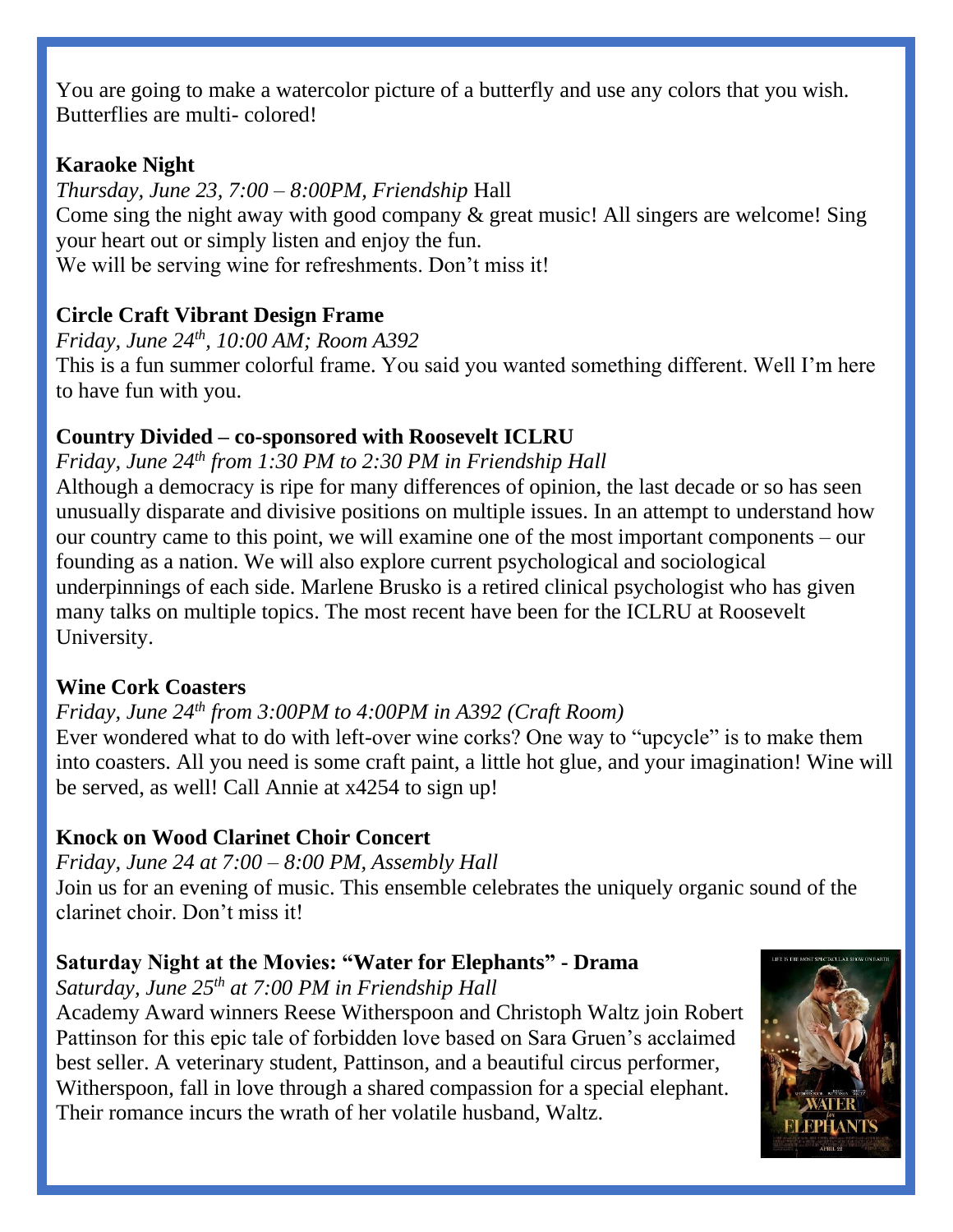You are going to make a watercolor picture of a butterfly and use any colors that you wish. Butterflies are multi- colored!

#### **Karaoke Night**

*Thursday, June 23, 7:00 – 8:00PM, Friendship* Hall Come sing the night away with good company & great music! All singers are welcome! Sing your heart out or simply listen and enjoy the fun. We will be serving wine for refreshments. Don't miss it!

### **Circle Craft Vibrant Design Frame**

*Friday, June 24th , 10:00 AM; Room A392* This is a fun summer colorful frame. You said you wanted something different. Well I'm here to have fun with you.

#### **Country Divided – co-sponsored with Roosevelt ICLRU**

*Friday, June 24th from 1:30 PM to 2:30 PM in Friendship Hall*

Although a democracy is ripe for many differences of opinion, the last decade or so has seen unusually disparate and divisive positions on multiple issues. In an attempt to understand how our country came to this point, we will examine one of the most important components – our founding as a nation. We will also explore current psychological and sociological underpinnings of each side. Marlene Brusko is a retired clinical psychologist who has given many talks on multiple topics. The most recent have been for the ICLRU at Roosevelt University.

### **Wine Cork Coasters**

#### *Friday, June 24th from 3:00PM to 4:00PM in A392 (Craft Room)*

Ever wondered what to do with left-over wine corks? One way to "upcycle" is to make them into coasters. All you need is some craft paint, a little hot glue, and your imagination! Wine will be served, as well! Call Annie at x4254 to sign up!

### **Knock on Wood Clarinet Choir Concert**

*Friday, June 24 at 7:00 – 8:00 PM, Assembly Hall*

Join us for an evening of music. This ensemble celebrates the uniquely organic sound of the clarinet choir. Don't miss it!

### **Saturday Night at the Movies: "Water for Elephants" - Drama**

#### *Saturday, June 25th at 7:00 PM in Friendship Hall*

Academy Award winners Reese Witherspoon and Christoph Waltz join Robert Pattinson for this epic tale of forbidden love based on Sara Gruen's acclaimed best seller. A veterinary student, Pattinson, and a beautiful circus performer, Witherspoon, fall in love through a shared compassion for a special elephant. Their romance incurs the wrath of her volatile husband, Waltz.